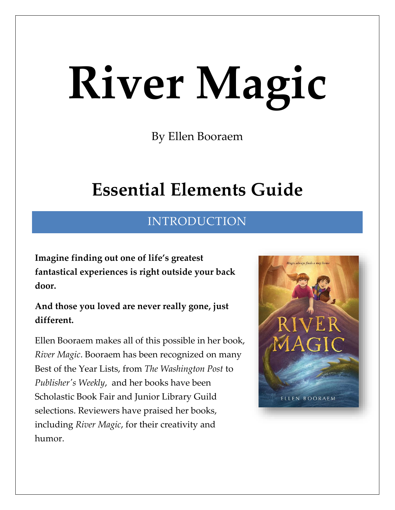# **River Magic**

By Ellen Booraem

## **Essential Elements Guide**

## INTRODUCTION

**Imagine finding out one of life's greatest fantastical experiences is right outside your back door.**

**And those you loved are never really gone, just different.**

Ellen Booraem makes all of this possible in her book, *River Magic*. Booraem has been recognized on many Best of the Year Lists, from *The Washington Post* to *Publisher's Weekly*, and her books have been Scholastic Book Fair and Junior Library Guild selections. Reviewers have praised her books, including *River Magic*, for their creativity and humor.

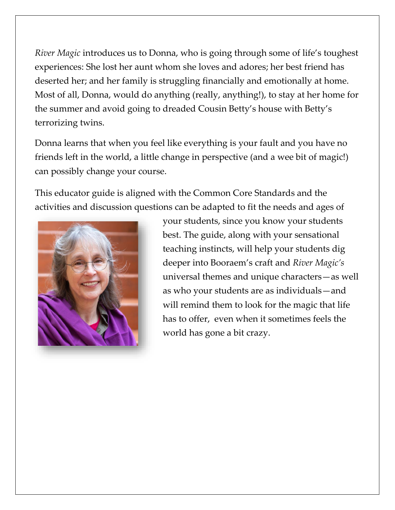*River Magic* introduces us to Donna, who is going through some of life's toughest experiences: She lost her aunt whom she loves and adores; her best friend has deserted her; and her family is struggling financially and emotionally at home. Most of all, Donna, would do anything (really, anything!), to stay at her home for the summer and avoid going to dreaded Cousin Betty's house with Betty's terrorizing twins.

Donna learns that when you feel like everything is your fault and you have no friends left in the world, a little change in perspective (and a wee bit of magic!) can possibly change your course.

This educator guide is aligned with the Common Core Standards and the activities and discussion questions can be adapted to fit the needs and ages of



your students, since you know your students best. The guide, along with your sensational teaching instincts, will help your students dig deeper into Booraem's craft and *River Magic's* universal themes and unique characters—as well as who your students are as individuals—and will remind them to look for the magic that life has to offer, even when it sometimes feels the world has gone a bit crazy.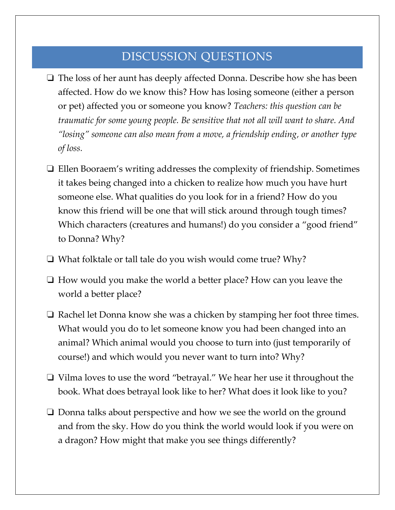## DISCUSSION QUESTIONS

- ❏ The loss of her aunt has deeply affected Donna. Describe how she has been affected. How do we know this? How has losing someone (either a person or pet) affected you or someone you know? *Teachers: this question can be traumatic for some young people. Be sensitive that not all will want to share. And "losing" someone can also mean from a move, a friendship ending, or another type of loss.*
- ❏ Ellen Booraem's writing addresses the complexity of friendship. Sometimes it takes being changed into a chicken to realize how much you have hurt someone else. What qualities do you look for in a friend? How do you know this friend will be one that will stick around through tough times? Which characters (creatures and humans!) do you consider a "good friend" to Donna? Why?
- ❏ What folktale or tall tale do you wish would come true? Why?
- ❏ How would you make the world a better place? How can you leave the world a better place?
- ❏ Rachel let Donna know she was a chicken by stamping her foot three times. What would you do to let someone know you had been changed into an animal? Which animal would you choose to turn into (just temporarily of course!) and which would you never want to turn into? Why?
- ❏ Vilma loves to use the word "betrayal." We hear her use it throughout the book. What does betrayal look like to her? What does it look like to you?
- ❏ Donna talks about perspective and how we see the world on the ground and from the sky. How do you think the world would look if you were on a dragon? How might that make you see things differently?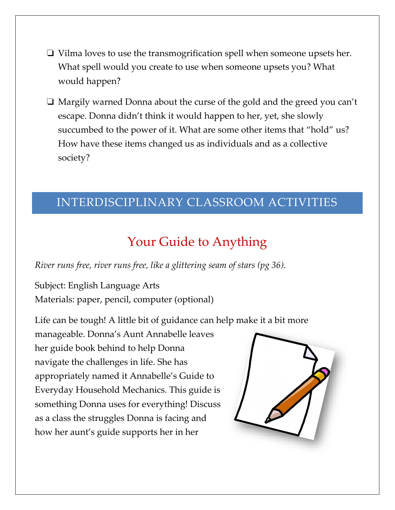- ❏ Vilma loves to use the transmogrification spell when someone upsets her. What spell would you create to use when someone upsets you? What would happen?
- ❏ Margily warned Donna about the curse of the gold and the greed you can't escape. Donna didn't think it would happen to her, yet, she slowly succumbed to the power of it. What are some other items that "hold" us? How have these items changed us as individuals and as a collective society?

### INTERDISCIPLINARY CLASSROOM ACTIVITIES

## Your Guide to Anything

*River runs free, river runs free, like a glittering seam of stars (pg 36).*

Subject: English Language Arts Materials: paper, pencil, computer (optional)

Life can be tough! A little bit of guidance can help make it a bit more

manageable. Donna's Aunt Annabelle leaves her guide book behind to help Donna navigate the challenges in life. She has appropriately named it Annabelle's Guide to Everyday Household Mechanics. This guide is something Donna uses for everything! Discuss as a class the struggles Donna is facing and how her aunt's guide supports her in her

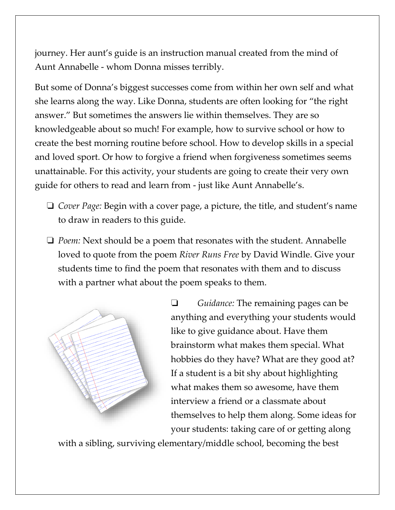journey. Her aunt's guide is an instruction manual created from the mind of Aunt Annabelle - whom Donna misses terribly.

But some of Donna's biggest successes come from within her own self and what she learns along the way. Like Donna, students are often looking for "the right answer." But sometimes the answers lie within themselves. They are so knowledgeable about so much! For example, how to survive school or how to create the best morning routine before school. How to develop skills in a special and loved sport. Or how to forgive a friend when forgiveness sometimes seems unattainable. For this activity, your students are going to create their very own guide for others to read and learn from - just like Aunt Annabelle's.

- ❏ *Cover Page:* Begin with a cover page, a picture, the title, and student's name to draw in readers to this guide.
- ❏ *Poem:* Next should be a poem that resonates with the student. Annabelle loved to quote from the poem *River Runs Free* by David Windle. Give your students time to find the poem that resonates with them and to discuss with a partner what about the poem speaks to them.



❏ *Guidance:* The remaining pages can be anything and everything your students would like to give guidance about. Have them brainstorm what makes them special. What hobbies do they have? What are they good at? If a student is a bit shy about highlighting what makes them so awesome, have them interview a friend or a classmate about themselves to help them along. Some ideas for your students: taking care of or getting along

with a sibling, surviving elementary/middle school, becoming the best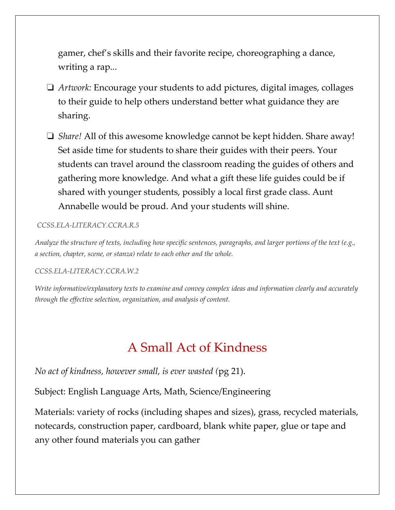gamer, chef's skills and their favorite recipe, choreographing a dance, writing a rap...

- ❏ *Artwork:* Encourage your students to add pictures, digital images, collages to their guide to help others understand better what guidance they are sharing.
- ❏ *Share!* All of this awesome knowledge cannot be kept hidden. Share away! Set aside time for students to share their guides with their peers. Your students can travel around the classroom reading the guides of others and gathering more knowledge. And what a gift these life guides could be if shared with younger students, possibly a local first grade class. Aunt Annabelle would be proud. And your students will shine.

#### *[CCSS.ELA-LITERACY.CCRA.R.5](http://www.corestandards.org/ELA-Literacy/CCRA/R/5/)*

*Analyze the structure of texts, including how specific sentences, paragraphs, and larger portions of the text (e.g., a section, chapter, scene, or stanza) relate to each other and the whole.*

#### *[CCSS.ELA-LITERACY.CCRA.W.2](http://www.corestandards.org/ELA-Literacy/CCRA/W/2/)*

*Write informative/explanatory texts to examine and convey complex ideas and information clearly and accurately through the effective selection, organization, and analysis of content.*

## A Small Act of Kindness

*No act of kindness, however small, is ever wasted (*pg 21).

Subject: English Language Arts, Math, Science/Engineering

Materials: variety of rocks (including shapes and sizes), grass, recycled materials, notecards, construction paper, cardboard, blank white paper, glue or tape and any other found materials you can gather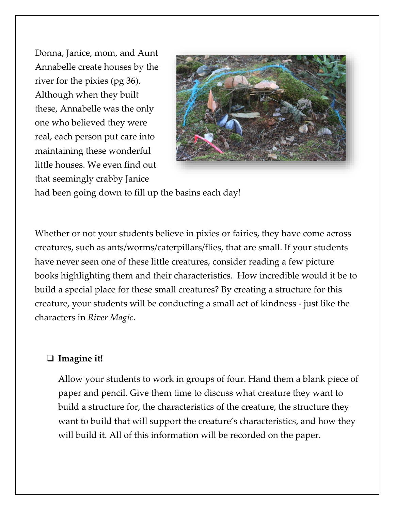Donna, Janice, mom, and Aunt Annabelle create houses by the river for the pixies (pg 36). Although when they built these, Annabelle was the only one who believed they were real, each person put care into maintaining these wonderful little houses. We even find out that seemingly crabby Janice



had been going down to fill up the basins each day!

Whether or not your students believe in pixies or fairies, they have come across creatures, such as ants/worms/caterpillars/flies, that are small. If your students have never seen one of these little creatures, consider reading a few picture books highlighting them and their characteristics. How incredible would it be to build a special place for these small creatures? By creating a structure for this creature, your students will be conducting a small act of kindness - just like the characters in *River Magic*.

#### ❏ **Imagine it!**

Allow your students to work in groups of four. Hand them a blank piece of paper and pencil. Give them time to discuss what creature they want to build a structure for, the characteristics of the creature, the structure they want to build that will support the creature's characteristics, and how they will build it. All of this information will be recorded on the paper.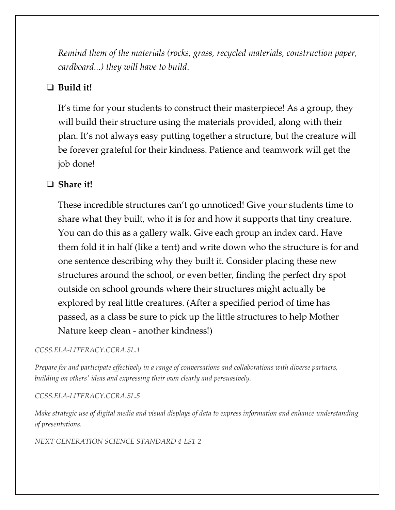*Remind them of the materials (rocks, grass, recycled materials, construction paper, cardboard...) they will have to build*.

#### ❏ **Build it!**

It's time for your students to construct their masterpiece! As a group, they will build their structure using the materials provided, along with their plan. It's not always easy putting together a structure, but the creature will be forever grateful for their kindness. Patience and teamwork will get the job done!

#### ❏ **Share it!**

These incredible structures can't go unnoticed! Give your students time to share what they built, who it is for and how it supports that tiny creature. You can do this as a gallery walk. Give each group an index card. Have them fold it in half (like a tent) and write down who the structure is for and one sentence describing why they built it. Consider placing these new structures around the school, or even better, finding the perfect dry spot outside on school grounds where their structures might actually be explored by real little creatures. (After a specified period of time has passed, as a class be sure to pick up the little structures to help Mother Nature keep clean - another kindness!)

#### *[CCSS.ELA-LITERACY.CCRA.SL.1](http://www.corestandards.org/ELA-Literacy/CCRA/SL/1/)*

*Prepare for and participate effectively in a range of conversations and collaborations with diverse partners, building on others' ideas and expressing their own clearly and persuasively.*

#### *[CCSS.ELA-LITERACY.CCRA.SL.5](http://www.corestandards.org/ELA-Literacy/CCRA/SL/5/)*

*Make strategic use of digital media and visual displays of data to express information and enhance understanding of presentations.*

*NEXT GENERATION SCIENCE STANDARD 4-LS1-2*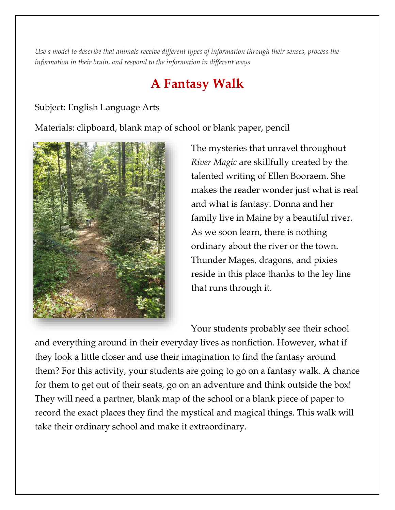*Use a model to describe that animals receive different types of information through their senses, process the information in their brain, and respond to the information in different ways*

## **A Fantasy Walk**

#### Subject: English Language Arts

Materials: clipboard, blank map of school or blank paper, pencil



The mysteries that unravel throughout *River Magic* are skillfully created by the talented writing of Ellen Booraem. She makes the reader wonder just what is real and what is fantasy. Donna and her family live in Maine by a beautiful river. As we soon learn, there is nothing ordinary about the river or the town. Thunder Mages, dragons, and pixies reside in this place thanks to the ley line that runs through it.

Your students probably see their school

and everything around in their everyday lives as nonfiction. However, what if they look a little closer and use their imagination to find the fantasy around them? For this activity, your students are going to go on a fantasy walk. A chance for them to get out of their seats, go on an adventure and think outside the box! They will need a partner, blank map of the school or a blank piece of paper to record the exact places they find the mystical and magical things. This walk will take their ordinary school and make it extraordinary.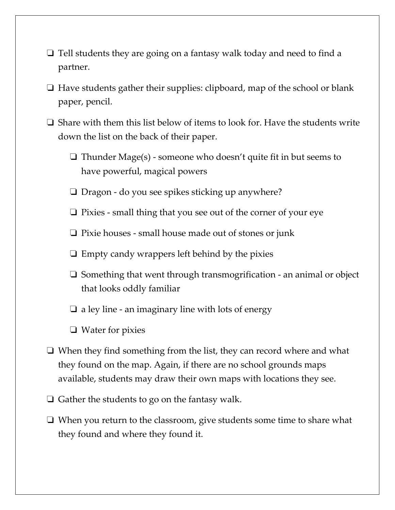- ❏ Tell students they are going on a fantasy walk today and need to find a partner.
- ❏ Have students gather their supplies: clipboard, map of the school or blank paper, pencil.
- ❏ Share with them this list below of items to look for. Have the students write down the list on the back of their paper.
	- ❏ Thunder Mage(s) someone who doesn't quite fit in but seems to have powerful, magical powers
	- ❏ Dragon do you see spikes sticking up anywhere?
	- ❏ Pixies small thing that you see out of the corner of your eye
	- ❏ Pixie houses small house made out of stones or junk
	- $\Box$  Empty candy wrappers left behind by the pixies
	- ❏ Something that went through transmogrification an animal or object that looks oddly familiar
	- $\Box$  a ley line an imaginary line with lots of energy
	- ❏ Water for pixies
- ❏ When they find something from the list, they can record where and what they found on the map. Again, if there are no school grounds maps available, students may draw their own maps with locations they see.
- ❏ Gather the students to go on the fantasy walk.
- ❏ When you return to the classroom, give students some time to share what they found and where they found it.